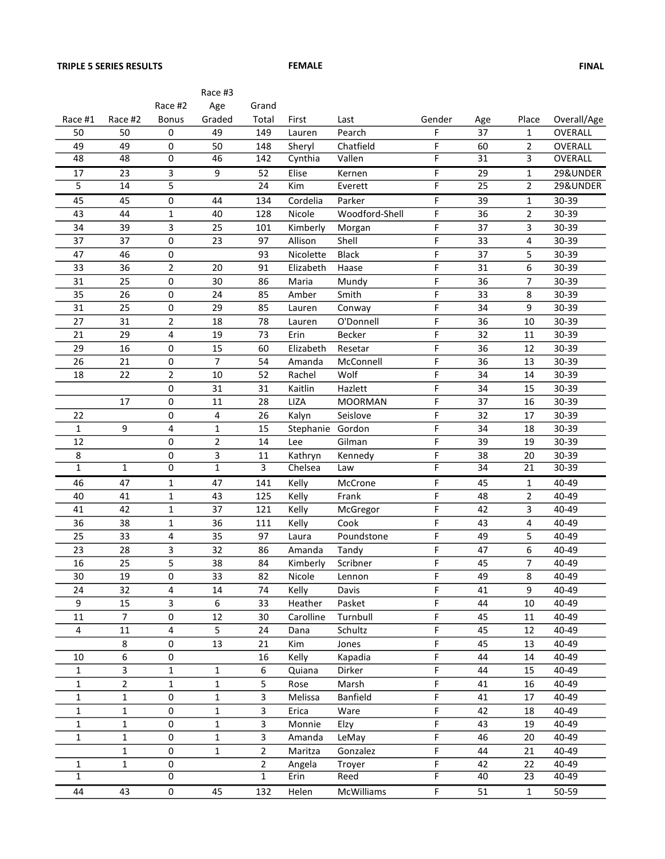|                         |                  |                         | Race #3                 |                 |           |                |                |                 |                 |             |
|-------------------------|------------------|-------------------------|-------------------------|-----------------|-----------|----------------|----------------|-----------------|-----------------|-------------|
|                         |                  | Race #2                 | Age                     | Grand           |           |                |                |                 |                 |             |
| Race #1                 | Race #2          | <b>Bonus</b>            | Graded                  | Total           | First     | Last           | Gender         | Age             | Place           | Overall/Age |
| 50                      | 50               | 0                       | 49                      | 149             | Lauren    | Pearch         | F              | 37              | 1               | OVERALL     |
| 49                      | 49               | 0                       | 50                      | 148             | Sheryl    | Chatfield      | F              | 60              | $\overline{2}$  | OVERALL     |
| 48                      | 48               | 0                       | 46                      | 142             | Cynthia   | Vallen         | F              | $\overline{31}$ | 3               | OVERALL     |
| 17                      | 23               | 3                       | 9                       | 52              | Elise     | Kernen         | F              | 29              | $\mathbf{1}$    | 29&UNDER    |
| 5                       | 14               | 5                       |                         | $\overline{24}$ | Kim       | Everett        | F              | $\overline{25}$ | $\overline{2}$  | 29&UNDER    |
| 45                      | 45               | $\pmb{0}$               | 44                      | 134             | Cordelia  | Parker         | F              | 39              | $\mathbf{1}$    | 30-39       |
| 43                      | 44               | 1                       | 40                      | 128             | Nicole    | Woodford-Shell | F              | 36              | $\overline{2}$  | 30-39       |
| 34                      | 39               | 3                       | 25                      | 101             | Kimberly  | Morgan         | F              | 37              | 3               | 30-39       |
| 37                      | 37               | 0                       | 23                      | 97              | Allison   | Shell          | F              | 33              | 4               | 30-39       |
| 47                      | 46               | 0                       |                         | 93              | Nicolette | <b>Black</b>   | F              | 37              | 5               | 30-39       |
| 33                      | 36               | $\overline{2}$          | 20                      | 91              | Elizabeth | Haase          | F              | 31              | 6               | 30-39       |
| 31                      | 25               | 0                       | 30                      | 86              | Maria     | Mundy          | F              | 36              | $\overline{7}$  | 30-39       |
| 35                      | 26               | 0                       | 24                      | 85              | Amber     | Smith          | F              | 33              | 8               | 30-39       |
| 31                      | 25               | 0                       | 29                      | 85              | Lauren    | Conway         | F              | 34              | 9               | 30-39       |
| 27                      | 31               | 2                       | 18                      | 78              | Lauren    | O'Donnell      | F              | 36              | 10              | 30-39       |
| 21                      | 29               | $\overline{4}$          | 19                      | 73              | Erin      | Becker         | F              | 32              | 11              | 30-39       |
| 29                      | 16               | 0                       | 15                      | 60              | Elizabeth | Resetar        | F              | 36              | 12              | 30-39       |
| 26                      | 21               | 0                       | $\overline{7}$          | 54              | Amanda    | McConnell      | F              | 36              | 13              | 30-39       |
| 18                      | 22               | 2                       | 10                      | 52              | Rachel    | Wolf           | F              | 34              | 14              | 30-39       |
|                         |                  | $\pmb{0}$               | 31                      | 31              | Kaitlin   | Hazlett        | F              | 34              | 15              | 30-39       |
|                         | 17               | 0                       | 11                      | 28              | LIZA      | <b>MOORMAN</b> | F              | 37              | 16              | 30-39       |
| 22                      |                  | 0                       | $\overline{\mathbf{4}}$ | 26              | Kalyn     | Seislove       | F              | 32              | 17              | 30-39       |
| $\mathbf{1}$            | $\boldsymbol{9}$ | 4                       | $\mathbf{1}$            | 15              | Stephanie | Gordon         | F              | 34              | 18              | 30-39       |
| 12                      |                  | $\mathbf 0$             | $\mathbf 2$             | 14              | Lee       | Gilman         | F              | 39              | 19              | 30-39       |
| 8                       |                  | 0                       | 3                       | 11              | Kathryn   | Kennedy        | F              | 38              | 20              | 30-39       |
| $\mathbf{1}$            | $\mathbf{1}$     | 0                       | $\mathbf{1}$            | 3               | Chelsea   | Law            | F              | 34              | 21              | 30-39       |
| 46                      | 47               | $\mathbf 1$             | 47                      | 141             | Kelly     | McCrone        | F              | 45              | 1               | 40-49       |
| 40                      | 41               | 1                       | 43                      | 125             | Kelly     | Frank          | F              | 48              | $\overline{2}$  | 40-49       |
| 41                      | 42               | $\mathbf 1$             | 37                      | 121             | Kelly     | McGregor       | F              | 42              | 3               | 40-49       |
| 36                      | 38               | $\mathbf{1}$            | 36                      | 111             | Kelly     | Cook           | F              | 43              | 4               | 40-49       |
| 25                      | 33               | 4                       | 35                      | 97              | Laura     | Poundstone     | F              | 49              | 5               | 40-49       |
| 23                      | 28               | 3                       | 32                      | 86              | Amanda    | Tandy          | F              | 47              | 6               | 40-49       |
| 16                      | 25               | 5                       | 38                      | 84              | Kimberly  | Scribner       | F              | 45              | 7               | 40-49       |
| $\overline{30}$         | 19               | 0                       | $\overline{33}$         | $\overline{82}$ | Nicole    | Lennon         | F              | 49              | 8               | $40 - 49$   |
| 24                      | 32               | 4                       | 14                      | 74              | Kelly     | Davis          | F              | 41              | 9               | 40-49       |
| 9                       | 15               | 3                       | 6                       | 33              | Heather   | Pasket         | F              | 44              | $10\,$          | 40-49       |
| $11\,$                  | $\overline{7}$   | $\pmb{0}$               | 12                      | 30              | Carolline | Turnbull       | F              | 45              | 11              | 40-49       |
| $\overline{\mathbf{4}}$ | 11               | $\overline{\mathbf{4}}$ | 5                       | 24              | Dana      | Schultz        | F              | 45              | 12              | 40-49       |
|                         | 8                | $\mathsf 0$             | 13                      | 21              | Kim       | Jones          | F              | 45              | 13              | 40-49       |
| 10                      | 6                | 0                       |                         | 16              | Kelly     | Kapadia        | F              | 44              | 14              | 40-49       |
| $\mathbf{1}$            | 3                | 1                       | $\mathbf{1}$            | 6               | Quiana    | Dirker         | F              | 44              | 15              | 40-49       |
| 1                       | $\overline{2}$   | 1                       | $\mathbf{1}$            | 5               | Rose      | Marsh          | F              | 41              | 16              | 40-49       |
| 1                       | 1                | $\pmb{0}$               | $\mathbf{1}$            | 3               | Melissa   | Banfield       | F              | 41              | 17              | 40-49       |
| 1                       | 1                | $\pmb{0}$               | $\mathbf{1}$            | 3               | Erica     | Ware           | F              | 42              | 18              | 40-49       |
| 1                       | 1                | $\pmb{0}$               | $\mathbf{1}$            | 3               | Monnie    | Elzy           | F              | 43              | 19              | 40-49       |
| 1                       | $\mathbf{1}$     | $\pmb{0}$               | $\mathbf 1$             | 3               | Amanda    | LeMay          | F              | 46              | 20              | 40-49       |
|                         | $\mathbf{1}$     | 0                       | $\mathbf 1$             | $\mathbf{2}$    | Maritza   | Gonzalez       | F              | 44              | 21              | 40-49       |
| 1                       | $\mathbf{1}$     | $\pmb{0}$               |                         | $\mathbf{2}$    | Angela    | Troyer         | F              | 42              | 22              | 40-49       |
| $\mathbf{1}$            |                  | $\overline{0}$          |                         | $\mathbf{1}$    | Erin      | Reed           | F              | 40              | $\overline{23}$ | $40 - 49$   |
| 44                      | 43               | $\pmb{0}$               | 45                      | 132             | Helen     | McWilliams     | $\overline{F}$ | 51              | $\mathbf 1$     | $50-59$     |